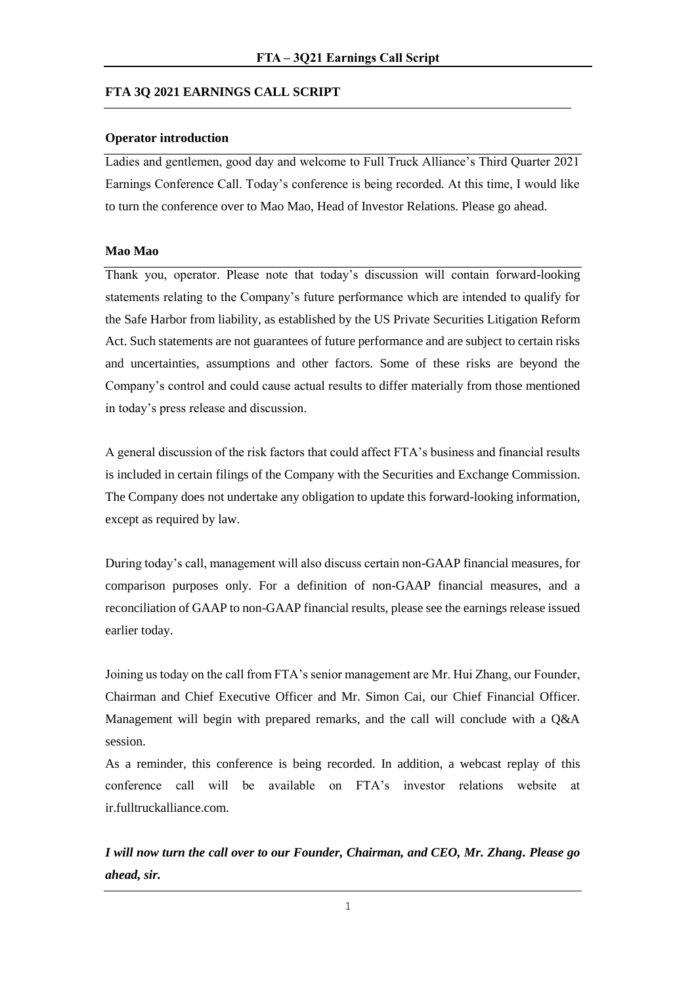# **FTA 3Q 2021 EARNINGS CALL SCRIPT**

## **Operator introduction**

Ladies and gentlemen, good day and welcome to Full Truck Alliance's Third Quarter 2021 Earnings Conference Call. Today's conference is being recorded. At this time, I would like to turn the conference over to Mao Mao, Head of Investor Relations. Please go ahead.

## **Mao Mao**

Thank you, operator. Please note that today's discussion will contain forward-looking statements relating to the Company's future performance which are intended to qualify for the Safe Harbor from liability, as established by the US Private Securities Litigation Reform Act. Such statements are not guarantees of future performance and are subject to certain risks and uncertainties, assumptions and other factors. Some of these risks are beyond the Company's control and could cause actual results to differ materially from those mentioned in today's press release and discussion.

A general discussion of the risk factors that could affect FTA's business and financial results is included in certain filings of the Company with the Securities and Exchange Commission. The Company does not undertake any obligation to update this forward-looking information, except as required by law.

During today's call, management will also discuss certain non-GAAP financial measures, for comparison purposes only. For a definition of non-GAAP financial measures, and a reconciliation of GAAP to non-GAAP financial results, please see the earnings release issued earlier today.

Joining us today on the call from FTA's senior management are Mr. Hui Zhang, our Founder, Chairman and Chief Executive Officer and Mr. Simon Cai, our Chief Financial Officer. Management will begin with prepared remarks, and the call will conclude with a Q&A session.

As a reminder, this conference is being recorded. In addition, a webcast replay of this conference call will be available on FTA's investor relations website at ir.fulltruckalliance.com.

*I will now turn the call over to our Founder, Chairman, and CEO, Mr. Zhang. Please go ahead, sir.*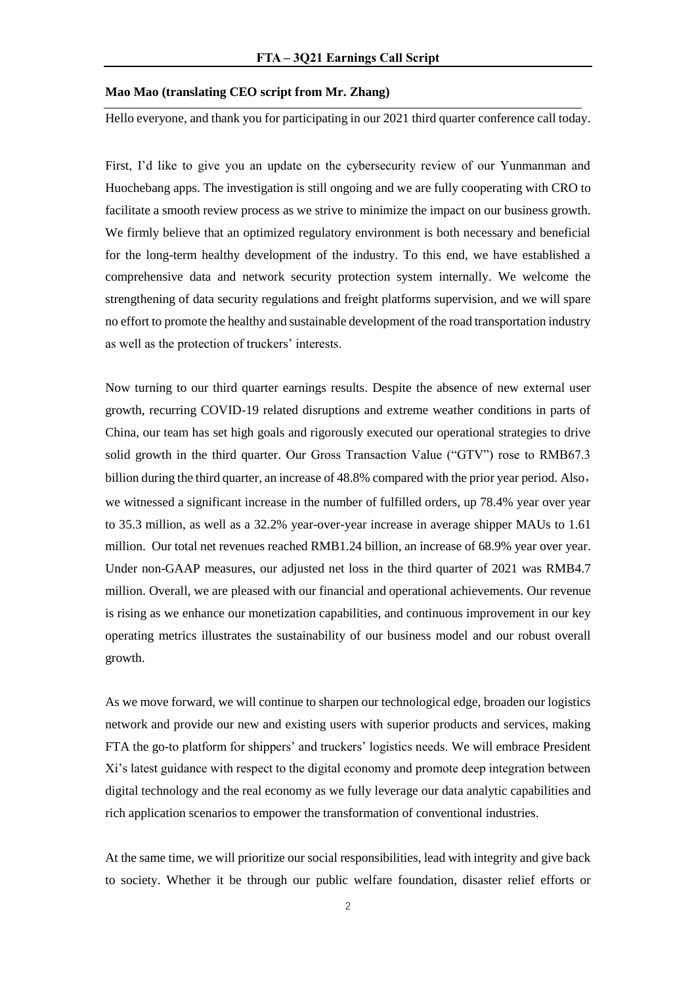#### **Mao Mao (translating CEO script from Mr. Zhang)**

Hello everyone, and thank you for participating in our 2021 third quarter conference call today.

First, I'd like to give you an update on the cybersecurity review of our Yunmanman and Huochebang apps. The investigation is still ongoing and we are fully cooperating with CRO to facilitate a smooth review process as we strive to minimize the impact on our business growth. We firmly believe that an optimized regulatory environment is both necessary and beneficial for the long-term healthy development of the industry. To this end, we have established a comprehensive data and network security protection system internally. We welcome the strengthening of data security regulations and freight platforms supervision, and we will spare no effort to promote the healthy and sustainable development of the road transportation industry as well as the protection of truckers' interests.

Now turning to our third quarter earnings results. Despite the absence of new external user growth, recurring COVID-19 related disruptions and extreme weather conditions in parts of China, our team has set high goals and rigorously executed our operational strategies to drive solid growth in the third quarter. Our Gross Transaction Value ("GTV") rose to RMB67.3 billion during the third quarter, an increase of 48.8% compared with the prior year period. Also, we witnessed a significant increase in the number of fulfilled orders, up 78.4% year over year to 35.3 million, as well as a 32.2% year-over-year increase in average shipper MAUs to 1.61 million. Our total net revenues reached RMB1.24 billion, an increase of 68.9% year over year. Under non-GAAP measures, our adjusted net loss in the third quarter of 2021 was RMB4.7 million. Overall, we are pleased with our financial and operational achievements. Our revenue is rising as we enhance our monetization capabilities, and continuous improvement in our key operating metrics illustrates the sustainability of our business model and our robust overall growth.

As we move forward, we will continue to sharpen our technological edge, broaden our logistics network and provide our new and existing users with superior products and services, making FTA the go-to platform for shippers' and truckers' logistics needs. We will embrace President Xi's latest guidance with respect to the digital economy and promote deep integration between digital technology and the real economy as we fully leverage our data analytic capabilities and rich application scenarios to empower the transformation of conventional industries.

At the same time, we will prioritize our social responsibilities, lead with integrity and give back to society. Whether it be through our public welfare foundation, disaster relief efforts or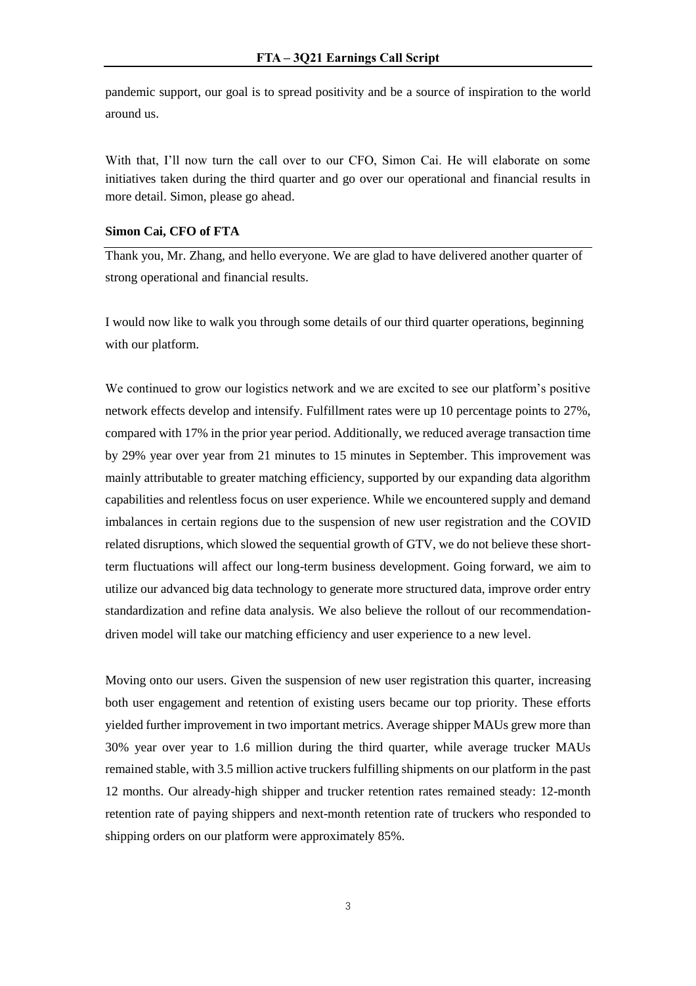pandemic support, our goal is to spread positivity and be a source of inspiration to the world around us.

With that, I'll now turn the call over to our CFO, Simon Cai. He will elaborate on some initiatives taken during the third quarter and go over our operational and financial results in more detail. Simon, please go ahead.

## **Simon Cai, CFO of FTA**

Thank you, Mr. Zhang, and hello everyone. We are glad to have delivered another quarter of strong operational and financial results.

I would now like to walk you through some details of our third quarter operations, beginning with our platform.

We continued to grow our logistics network and we are excited to see our platform's positive network effects develop and intensify. Fulfillment rates were up 10 percentage points to 27%, compared with 17% in the prior year period. Additionally, we reduced average transaction time by 29% year over year from 21 minutes to 15 minutes in September. This improvement was mainly attributable to greater matching efficiency, supported by our expanding data algorithm capabilities and relentless focus on user experience. While we encountered supply and demand imbalances in certain regions due to the suspension of new user registration and the COVID related disruptions, which slowed the sequential growth of GTV, we do not believe these shortterm fluctuations will affect our long-term business development. Going forward, we aim to utilize our advanced big data technology to generate more structured data, improve order entry standardization and refine data analysis. We also believe the rollout of our recommendationdriven model will take our matching efficiency and user experience to a new level.

Moving onto our users. Given the suspension of new user registration this quarter, increasing both user engagement and retention of existing users became our top priority. These efforts yielded further improvement in two important metrics. Average shipper MAUs grew more than 30% year over year to 1.6 million during the third quarter, while average trucker MAUs remained stable, with 3.5 million active truckers fulfilling shipments on our platform in the past 12 months. Our already-high shipper and trucker retention rates remained steady: 12-month retention rate of paying shippers and next-month retention rate of truckers who responded to shipping orders on our platform were approximately 85%.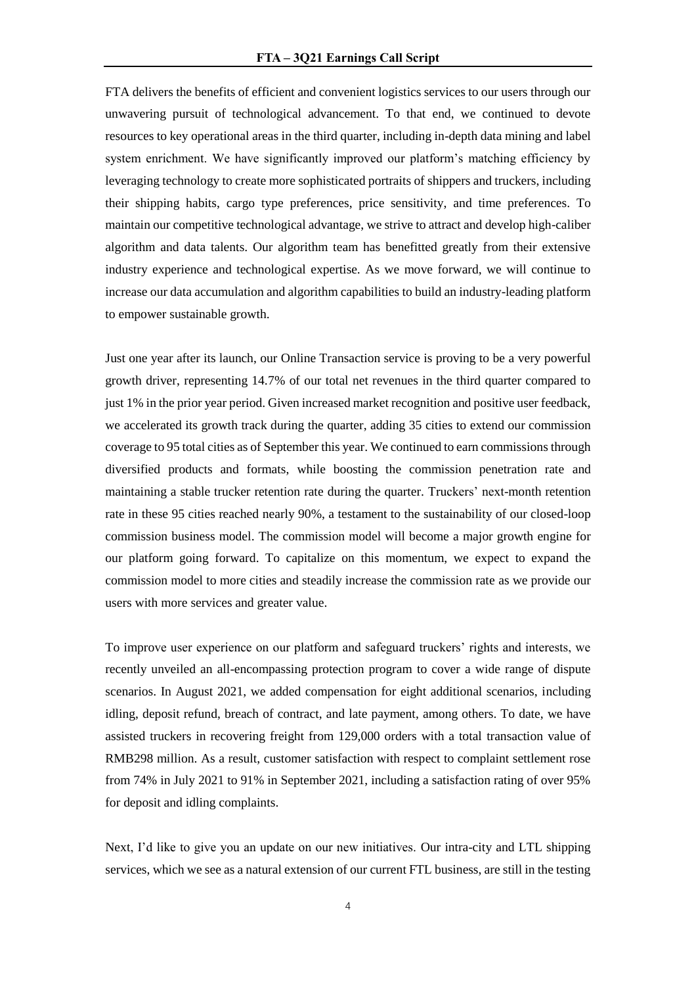FTA delivers the benefits of efficient and convenient logistics services to our users through our unwavering pursuit of technological advancement. To that end, we continued to devote resources to key operational areas in the third quarter, including in-depth data mining and label system enrichment. We have significantly improved our platform's matching efficiency by leveraging technology to create more sophisticated portraits of shippers and truckers, including their shipping habits, cargo type preferences, price sensitivity, and time preferences. To maintain our competitive technological advantage, we strive to attract and develop high-caliber algorithm and data talents. Our algorithm team has benefitted greatly from their extensive industry experience and technological expertise. As we move forward, we will continue to increase our data accumulation and algorithm capabilities to build an industry-leading platform to empower sustainable growth.

Just one year after its launch, our Online Transaction service is proving to be a very powerful growth driver, representing 14.7% of our total net revenues in the third quarter compared to just 1% in the prior year period. Given increased market recognition and positive user feedback, we accelerated its growth track during the quarter, adding 35 cities to extend our commission coverage to 95 total cities as of September this year. We continued to earn commissions through diversified products and formats, while boosting the commission penetration rate and maintaining a stable trucker retention rate during the quarter. Truckers' next-month retention rate in these 95 cities reached nearly 90%, a testament to the sustainability of our closed-loop commission business model. The commission model will become a major growth engine for our platform going forward. To capitalize on this momentum, we expect to expand the commission model to more cities and steadily increase the commission rate as we provide our users with more services and greater value.

To improve user experience on our platform and safeguard truckers' rights and interests, we recently unveiled an all-encompassing protection program to cover a wide range of dispute scenarios. In August 2021, we added compensation for eight additional scenarios, including idling, deposit refund, breach of contract, and late payment, among others. To date, we have assisted truckers in recovering freight from 129,000 orders with a total transaction value of RMB298 million. As a result, customer satisfaction with respect to complaint settlement rose from 74% in July 2021 to 91% in September 2021, including a satisfaction rating of over 95% for deposit and idling complaints.

Next, I'd like to give you an update on our new initiatives. Our intra-city and LTL shipping services, which we see as a natural extension of our current FTL business, are still in the testing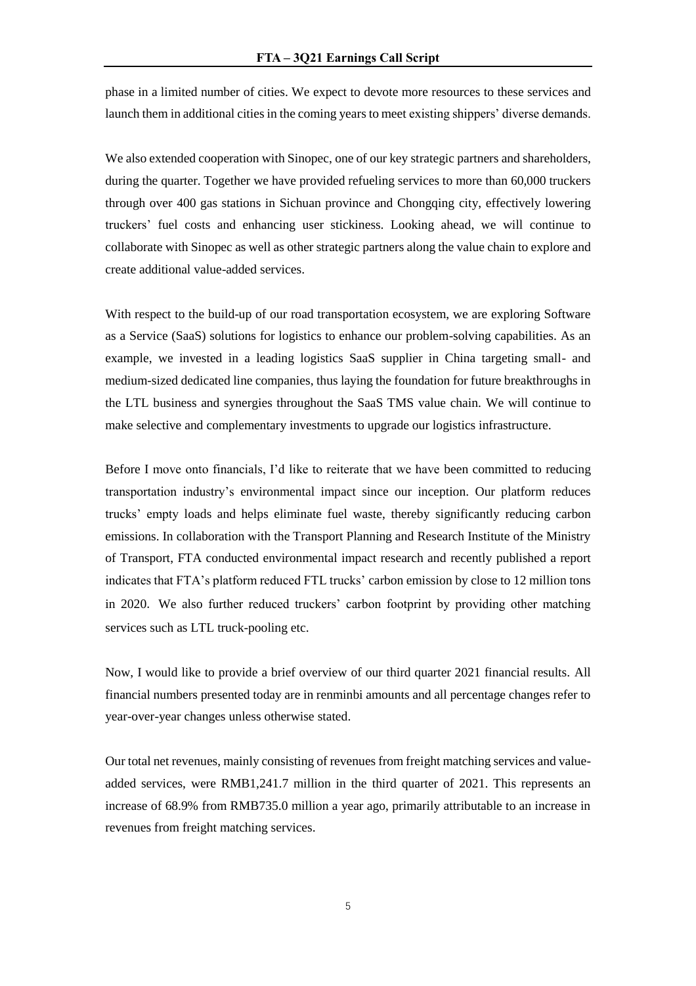phase in a limited number of cities. We expect to devote more resources to these services and launch them in additional cities in the coming years to meet existing shippers' diverse demands.

We also extended cooperation with Sinopec, one of our key strategic partners and shareholders, during the quarter. Together we have provided refueling services to more than 60,000 truckers through over 400 gas stations in Sichuan province and Chongqing city, effectively lowering truckers' fuel costs and enhancing user stickiness. Looking ahead, we will continue to collaborate with Sinopec as well as other strategic partners along the value chain to explore and create additional value-added services.

With respect to the build-up of our road transportation ecosystem, we are exploring Software as a Service (SaaS) solutions for logistics to enhance our problem-solving capabilities. As an example, we invested in a leading logistics SaaS supplier in China targeting small- and medium-sized dedicated line companies, thus laying the foundation for future breakthroughs in the LTL business and synergies throughout the SaaS TMS value chain. We will continue to make selective and complementary investments to upgrade our logistics infrastructure.

Before I move onto financials, I'd like to reiterate that we have been committed to reducing transportation industry's environmental impact since our inception. Our platform reduces trucks' empty loads and helps eliminate fuel waste, thereby significantly reducing carbon emissions. In collaboration with the Transport Planning and Research Institute of the Ministry of Transport, FTA conducted environmental impact research and recently published a report indicates that FTA's platform reduced FTL trucks' carbon emission by close to 12 million tons in 2020. We also further reduced truckers' carbon footprint by providing other matching services such as LTL truck-pooling etc.

Now, I would like to provide a brief overview of our third quarter 2021 financial results. All financial numbers presented today are in renminbi amounts and all percentage changes refer to year-over-year changes unless otherwise stated.

Our total net revenues, mainly consisting of revenues from freight matching services and valueadded services, were RMB1,241.7 million in the third quarter of 2021. This represents an increase of 68.9% from RMB735.0 million a year ago, primarily attributable to an increase in revenues from freight matching services.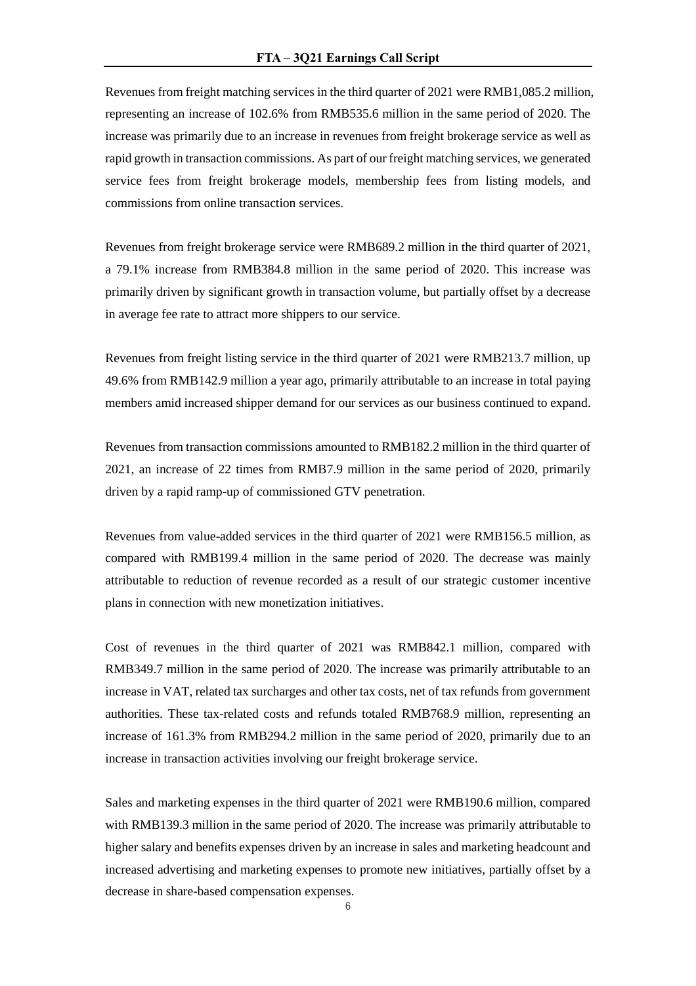Revenues from freight matching services in the third quarter of 2021 were RMB1,085.2 million, representing an increase of 102.6% from RMB535.6 million in the same period of 2020. The increase was primarily due to an increase in revenues from freight brokerage service as well as rapid growth in transaction commissions. As part of our freight matching services, we generated service fees from freight brokerage models, membership fees from listing models, and commissions from online transaction services.

Revenues from freight brokerage service were RMB689.2 million in the third quarter of 2021, a 79.1% increase from RMB384.8 million in the same period of 2020. This increase was primarily driven by significant growth in transaction volume, but partially offset by a decrease in average fee rate to attract more shippers to our service.

Revenues from freight listing service in the third quarter of 2021 were RMB213.7 million, up 49.6% from RMB142.9 million a year ago, primarily attributable to an increase in total paying members amid increased shipper demand for our services as our business continued to expand.

Revenues from transaction commissions amounted to RMB182.2 million in the third quarter of 2021, an increase of 22 times from RMB7.9 million in the same period of 2020, primarily driven by a rapid ramp-up of commissioned GTV penetration.

Revenues from value-added services in the third quarter of 2021 were RMB156.5 million, as compared with RMB199.4 million in the same period of 2020. The decrease was mainly attributable to reduction of revenue recorded as a result of our strategic customer incentive plans in connection with new monetization initiatives.

Cost of revenues in the third quarter of 2021 was RMB842.1 million, compared with RMB349.7 million in the same period of 2020. The increase was primarily attributable to an increase in VAT, related tax surcharges and other tax costs, net of tax refunds from government authorities. These tax-related costs and refunds totaled RMB768.9 million, representing an increase of 161.3% from RMB294.2 million in the same period of 2020, primarily due to an increase in transaction activities involving our freight brokerage service.

Sales and marketing expenses in the third quarter of 2021 were RMB190.6 million, compared with RMB139.3 million in the same period of 2020. The increase was primarily attributable to higher salary and benefits expenses driven by an increase in sales and marketing headcount and increased advertising and marketing expenses to promote new initiatives, partially offset by a decrease in share-based compensation expenses.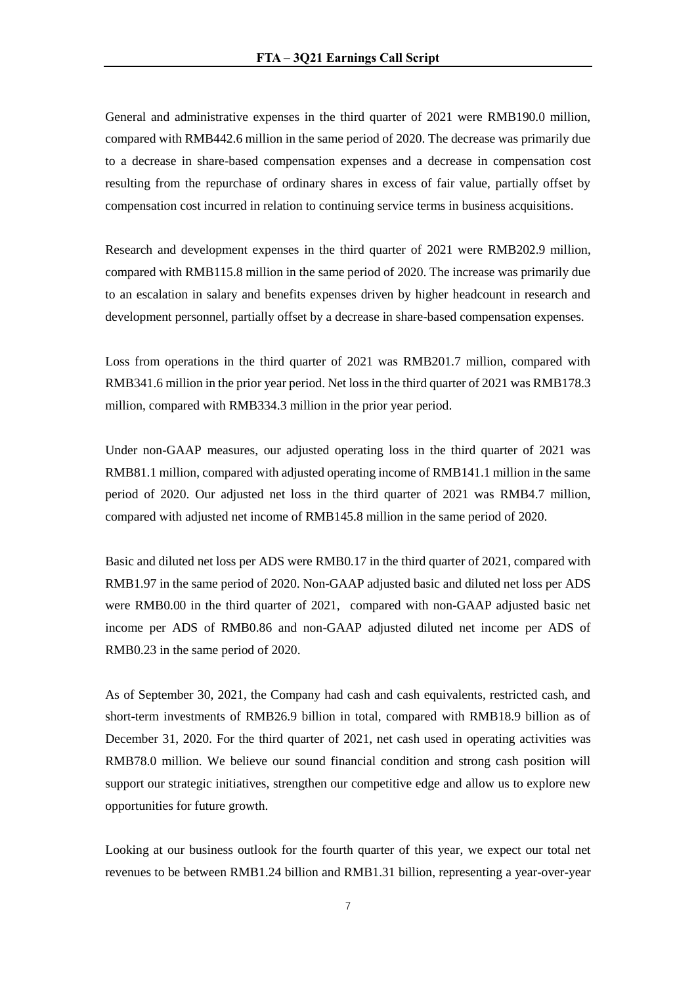General and administrative expenses in the third quarter of 2021 were RMB190.0 million, compared with RMB442.6 million in the same period of 2020. The decrease was primarily due to a decrease in share-based compensation expenses and a decrease in compensation cost resulting from the repurchase of ordinary shares in excess of fair value, partially offset by compensation cost incurred in relation to continuing service terms in business acquisitions.

Research and development expenses in the third quarter of 2021 were RMB202.9 million, compared with RMB115.8 million in the same period of 2020. The increase was primarily due to an escalation in salary and benefits expenses driven by higher headcount in research and development personnel, partially offset by a decrease in share-based compensation expenses.

Loss from operations in the third quarter of 2021 was RMB201.7 million, compared with RMB341.6 million in the prior year period. Net loss in the third quarter of 2021 was RMB178.3 million, compared with RMB334.3 million in the prior year period.

Under non-GAAP measures, our adjusted operating loss in the third quarter of 2021 was RMB81.1 million, compared with adjusted operating income of RMB141.1 million in the same period of 2020. Our adjusted net loss in the third quarter of 2021 was RMB4.7 million, compared with adjusted net income of RMB145.8 million in the same period of 2020.

Basic and diluted net loss per ADS were RMB0.17 in the third quarter of 2021, compared with RMB1.97 in the same period of 2020. Non-GAAP adjusted basic and diluted net loss per ADS were RMB0.00 in the third quarter of 2021, compared with non-GAAP adjusted basic net income per ADS of RMB0.86 and non-GAAP adjusted diluted net income per ADS of RMB0.23 in the same period of 2020.

As of September 30, 2021, the Company had cash and cash equivalents, restricted cash, and short-term investments of RMB26.9 billion in total, compared with RMB18.9 billion as of December 31, 2020. For the third quarter of 2021, net cash used in operating activities was RMB78.0 million. We believe our sound financial condition and strong cash position will support our strategic initiatives, strengthen our competitive edge and allow us to explore new opportunities for future growth.

Looking at our business outlook for the fourth quarter of this year, we expect our total net revenues to be between RMB1.24 billion and RMB1.31 billion, representing a year-over-year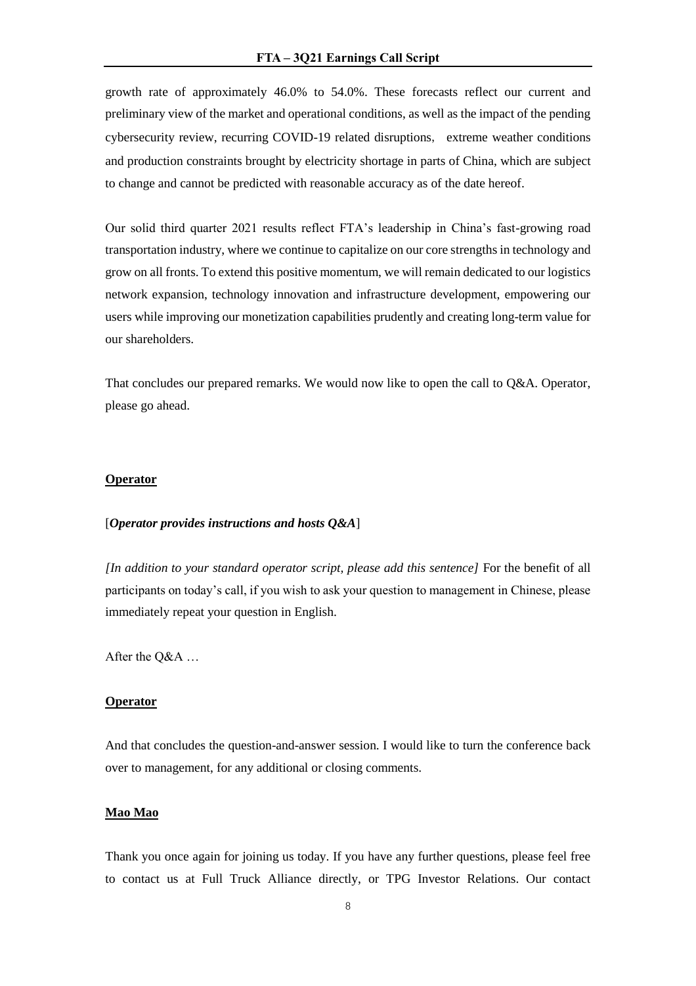growth rate of approximately 46.0% to 54.0%. These forecasts reflect our current and preliminary view of the market and operational conditions, as well as the impact of the pending cybersecurity review, recurring COVID-19 related disruptions, extreme weather conditions and production constraints brought by electricity shortage in parts of China, which are subject to change and cannot be predicted with reasonable accuracy as of the date hereof.

Our solid third quarter 2021 results reflect FTA's leadership in China's fast-growing road transportation industry, where we continue to capitalize on our core strengths in technology and grow on all fronts. To extend this positive momentum, we will remain dedicated to our logistics network expansion, technology innovation and infrastructure development, empowering our users while improving our monetization capabilities prudently and creating long-term value for our shareholders.

That concludes our prepared remarks. We would now like to open the call to Q&A. Operator, please go ahead.

### **Operator**

#### [*Operator provides instructions and hosts Q&A*]

*[In addition to your standard operator script, please add this sentence]* For the benefit of all participants on today's call, if you wish to ask your question to management in Chinese, please immediately repeat your question in English.

After the Q&A …

## **Operator**

And that concludes the question-and-answer session. I would like to turn the conference back over to management, for any additional or closing comments.

### **Mao Mao**

Thank you once again for joining us today. If you have any further questions, please feel free to contact us at Full Truck Alliance directly, or TPG Investor Relations. Our contact